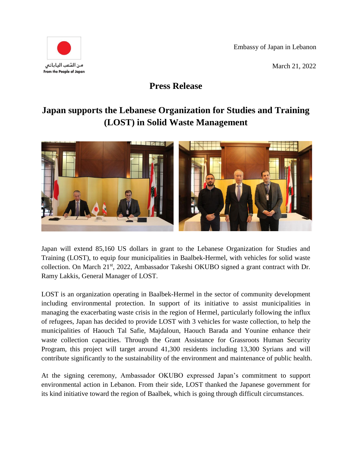Embassy of Japan in Lebanon

March 21, 2022



## **Press Release**

## **Japan supports the Lebanese Organization for Studies and Training (LOST) in Solid Waste Management**



Japan will extend 85,160 US dollars in grant to the Lebanese Organization for Studies and Training (LOST), to equip four municipalities in Baalbek-Hermel, with vehicles for solid waste collection. On March 21st, 2022, Ambassador Takeshi OKUBO signed a grant contract with Dr. Ramy Lakkis, General Manager of LOST.

LOST is an organization operating in Baalbek-Hermel in the sector of community development including environmental protection. In support of its initiative to assist municipalities in managing the exacerbating waste crisis in the region of Hermel, particularly following the influx of refugees, Japan has decided to provide LOST with 3 vehicles for waste collection, to help the municipalities of Haouch Tal Safie, Majdaloun, Haouch Barada and Younine enhance their waste collection capacities. Through the Grant Assistance for Grassroots Human Security Program, this project will target around 41,300 residents including 13,300 Syrians and will contribute significantly to the sustainability of the environment and maintenance of public health.

At the signing ceremony, Ambassador OKUBO expressed Japan's commitment to support environmental action in Lebanon. From their side, LOST thanked the Japanese government for its kind initiative toward the region of Baalbek, which is going through difficult circumstances.